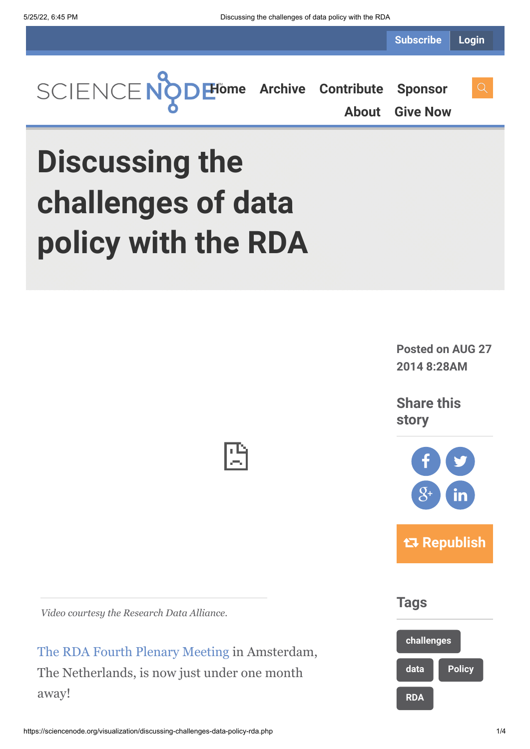**Subscribe Login**



**[About](https://sciencenode.org/about/index.php) [Give Now](https://sciencenode.org/donate/index.php)**

## **Discussing the challenges of data policy with the RDA**

**Posted on AUG 27 2014 8:28AM**

**Share this story**



**Tags**



*Video courtesy the Research Data Alliance.*

[The RDA Fourth Plenary Meeting](https://www.rd-alliance.org/) in Amsterdam, The Netherlands, is now just under one month away!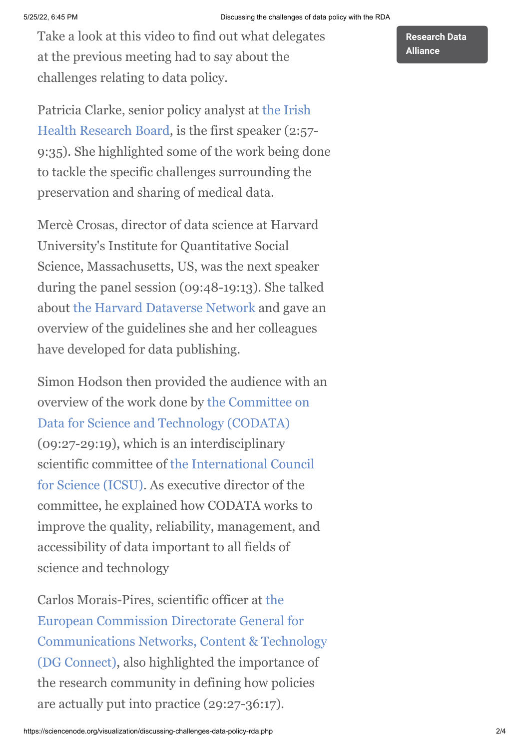Take a look at this video to find out what delegates at the previous meeting had to say about the challenges relating to data policy.

Patricia Clarke, senior policy analyst at the Irish [Health Research Board, is the first speaker \(2:57](http://www.hrb.ie/)- 9:35). She highlighted some of the work being done to tackle the specific challenges surrounding the preservation and sharing of medical data.

Mercè Crosas, director of data science at Harvard University's Institute for Quantitative Social Science, Massachusetts, US, was the next speaker during the panel session (09:48-19:13). She talked about [the Harvard Dataverse Network](http://thedata.harvard.edu/dvn/) and gave an overview of the guidelines she and her colleagues have developed for data publishing.

Simon Hodson then provided the audience with an [overview of the work done by the Committee on](http://www.codata.org/) Data for Science and Technology (CODATA) (09:27-29:19), which is an interdisciplinary [scientific committee of the International Council](http://www.icsu.org/) for Science (ICSU). As executive director of the committee, he explained how CODATA works to improve the quality, reliability, management, and accessibility of data important to all fields of science and technology

Carlos Morais-Pires, scientific officer at the European Commission Directorate General for [Communications Networks, Content & Technology](http://ec.europa.eu/dgs/connect/en/content/dg-connect) (DG Connect), also highlighted the importance of the research community in defining how policies are actually put into practice (29:27-36:17).

**[Research Data](https://sciencenode.org/tag/?tag=Research%20Data%20Alliance) Alliance**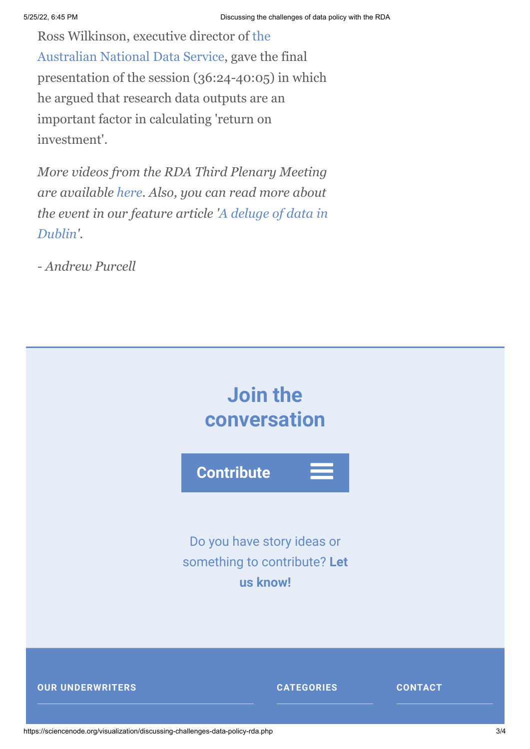[Ross Wilkinson, executive director of the](http://www.ands.org.au/) Australian National Data Service, gave the final presentation of the session (36:24-40:05) in which he argued that research data outputs are an important factor in calculating 'return on investment'.

*More videos from the RDA Third Plenary Meeting are available [here.](https://www.rd-alliance.org/plenary3/programme.html) Also, you can read more about [the event in our feature article 'A deluge of data in](http://www.isgtw.org/feature/deluge-data-dublin) Dublin'.*

*- Andrew Purcell*